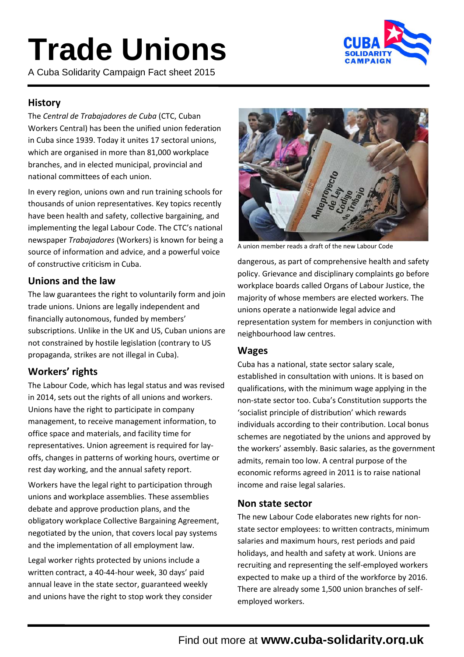# **Trade Unions**

A Cuba Solidarity Campaign Fact sheet 2015



# **History**

The *Central de Trabajadores de Cuba* (CTC, Cuban Workers Central) has been the unified union federation in Cuba since 1939. Today it unites 17 sectoral unions, which are organised in more than 81,000 workplace branches, and in elected municipal, provincial and national committees of each union.

In every region, unions own and run training schools for thousands of union representatives. Key topics recently have been health and safety, collective bargaining, and implementing the legal Labour Code. The CTC's national newspaper *Trabajadores* (Workers) is known for being a source of information and advice, and a powerful voice of constructive criticism in Cuba.

# **Unions and the law**

The law guarantees the right to voluntarily form and join trade unions. Unions are legally independent and financially autonomous, funded by members' subscriptions. Unlike in the UK and US, Cuban unions are not constrained by hostile legislation (contrary to US propaganda, strikes are not illegal in Cuba).

# **Workers' rights**

The Labour Code, which has legal status and was revised in 2014, sets out the rights of all unions and workers. Unions have the right to participate in company management, to receive management information, to office space and materials, and facility time for representatives. Union agreement is required for layoffs, changes in patterns of working hours, overtime or rest day working, and the annual safety report.

Workers have the legal right to participation through unions and workplace assemblies. These assemblies debate and approve production plans, and the obligatory workplace Collective Bargaining Agreement, negotiated by the union, that covers local pay systems and the implementation of all employment law.

Legal worker rights protected by unions include a written contract, a 40-44-hour week, 30 days' paid annual leave in the state sector, guaranteed weekly and unions have the right to stop work they consider



A union member reads a draft of the new Labour Code

dangerous, as part of comprehensive health and safety policy. Grievance and disciplinary complaints go before workplace boards called Organs of Labour Justice, the majority of whose members are elected workers. The unions operate a nationwide legal advice and representation system for members in conjunction with neighbourhood law centres.

## **Wages**

Cuba has a national, state sector salary scale, established in consultation with unions. It is based on qualifications, with the minimum wage applying in the non-state sector too. Cuba's Constitution supports the 'socialist principle of distribution' which rewards individuals according to their contribution. Local bonus schemes are negotiated by the unions and approved by the workers' assembly. Basic salaries, as the government admits, remain too low. A central purpose of the economic reforms agreed in 2011 is to raise national income and raise legal salaries.

#### **Non state sector**

The new Labour Code elaborates new rights for nonstate sector employees: to written contracts, minimum salaries and maximum hours, rest periods and paid holidays, and health and safety at work. Unions are recruiting and representing the self-employed workers expected to make up a third of the workforce by 2016. There are already some 1,500 union branches of selfemployed workers.